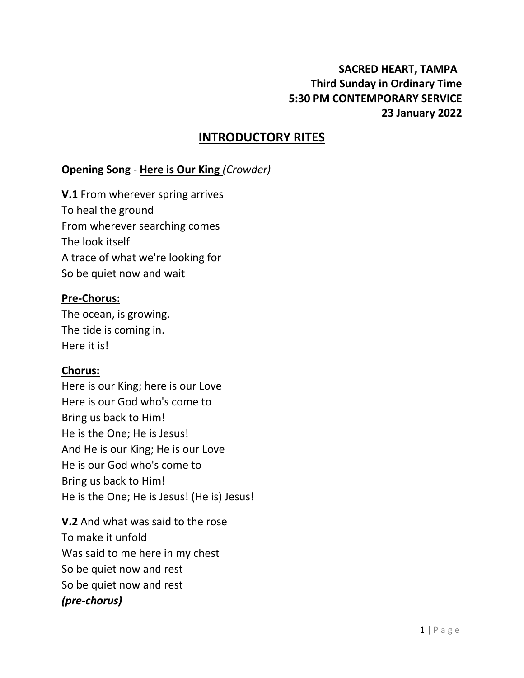## **SACRED HEART, TAMPA Third Sunday in Ordinary Time 5:30 PM CONTEMPORARY SERVICE 23 January 2022**

# **INTRODUCTORY RITES**

#### **Opening Song** - **Here is Our King** *(Crowder)*

**V.1** From wherever spring arrives To heal the ground From wherever searching comes The look itself A trace of what we're looking for So be quiet now and wait

#### **Pre-Chorus:**

The ocean, is growing. The tide is coming in. Here it is!

#### **Chorus:**

Here is our King; here is our Love Here is our God who's come to Bring us back to Him! He is the One; He is Jesus! And He is our King; He is our Love He is our God who's come to Bring us back to Him! He is the One; He is Jesus! (He is) Jesus!

**V.2** And what was said to the rose To make it unfold Was said to me here in my chest So be quiet now and rest So be quiet now and rest *(pre-chorus)*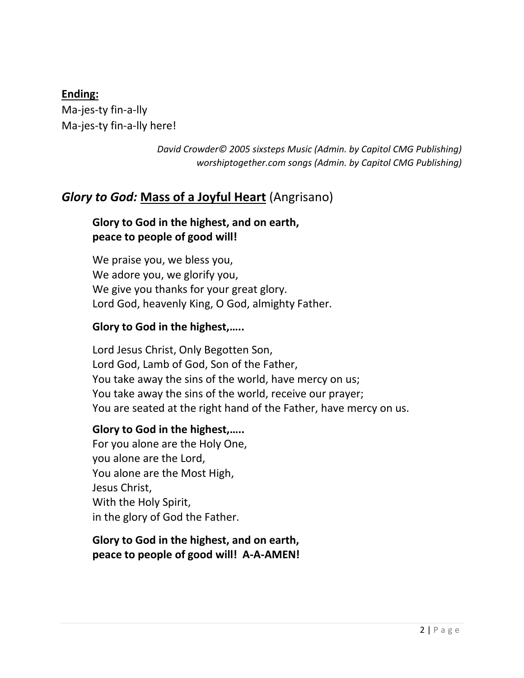# **Ending:**

Ma-jes-ty fin-a-lly Ma-jes-ty fin-a-lly here!

> *David Crowder© 2005 sixsteps Music (Admin. by Capitol CMG Publishing) worshiptogether.com songs (Admin. by Capitol CMG Publishing)*

# *Glory to God:* **Mass of a Joyful Heart** (Angrisano)

### **Glory to God in the highest, and on earth, peace to people of good will!**

We praise you, we bless you, We adore you, we glorify you, We give you thanks for your great glory. Lord God, heavenly King, O God, almighty Father.

### **Glory to God in the highest,…..**

Lord Jesus Christ, Only Begotten Son, Lord God, Lamb of God, Son of the Father, You take away the sins of the world, have mercy on us; You take away the sins of the world, receive our prayer; You are seated at the right hand of the Father, have mercy on us.

#### **Glory to God in the highest,…..**

For you alone are the Holy One, you alone are the Lord, You alone are the Most High, Jesus Christ, With the Holy Spirit, in the glory of God the Father.

### **Glory to God in the highest, and on earth, peace to people of good will! A-A-AMEN!**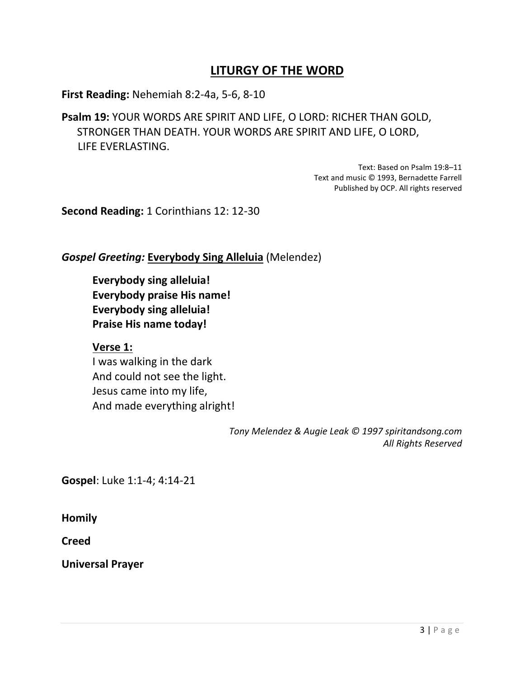# **LITURGY OF THE WORD**

**First Reading:** Nehemiah 8:2-4a, 5-6, 8-10

**Psalm 19:** YOUR WORDS ARE SPIRIT AND LIFE, O LORD: RICHER THAN GOLD, STRONGER THAN DEATH. YOUR WORDS ARE SPIRIT AND LIFE, O LORD, LIFE EVERLASTING.

> Text: Based on Psalm 19:8–11 Text and music © 1993, Bernadette Farrell Published by OCP. All rights reserved

**Second Reading:** 1 Corinthians 12: 12-30

#### *Gospel Greeting:* **Everybody Sing Alleluia** (Melendez)

**Everybody sing alleluia! Everybody praise His name! Everybody sing alleluia! Praise His name today!**

**Verse 1:**

I was walking in the dark And could not see the light. Jesus came into my life, And made everything alright!

> *Tony Melendez & Augie Leak © 1997 spiritandsong.com All Rights Reserved*

**Gospel**: Luke 1:1-4; 4:14-21

**Homily**

**Creed**

**Universal Prayer**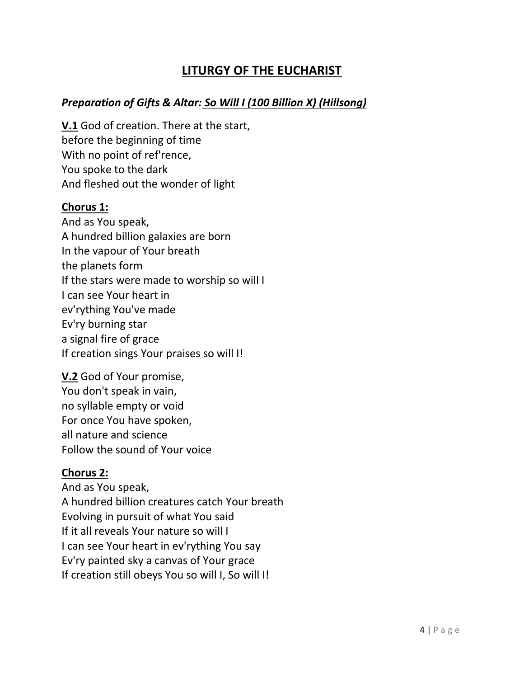# **LITURGY OF THE EUCHARIST**

### *Preparation of Gifts & Altar: So Will I (100 Billion X) (Hillsong)*

**V.1** God of creation. There at the start, before the beginning of time With no point of ref'rence, You spoke to the dark And fleshed out the wonder of light

#### **Chorus 1:**

And as You speak, A hundred billion galaxies are born In the vapour of Your breath the planets form If the stars were made to worship so will I I can see Your heart in ev'rything You've made Ev'ry burning star a signal fire of grace If creation sings Your praises so will I!

**V.2** God of Your promise, You don't speak in vain, no syllable empty or void For once You have spoken, all nature and science Follow the sound of Your voice

#### **Chorus 2:**

And as You speak, A hundred billion creatures catch Your breath Evolving in pursuit of what You said If it all reveals Your nature so will I I can see Your heart in ev'rything You say Ev'ry painted sky a canvas of Your grace If creation still obeys You so will I, So will I!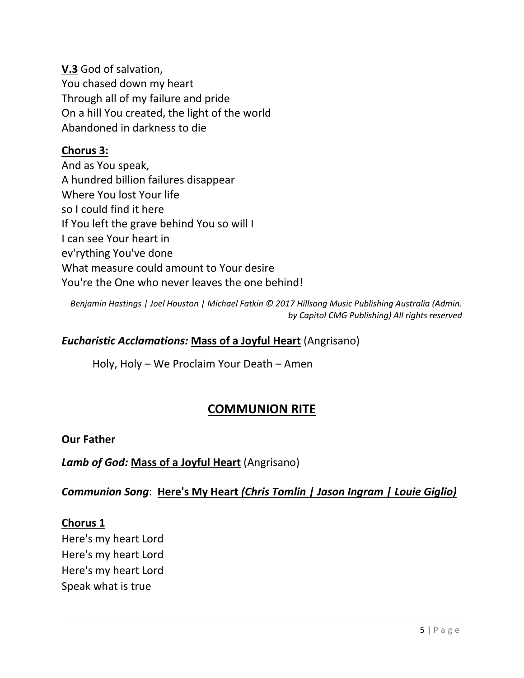**V.3** God of salvation, You chased down my heart Through all of my failure and pride On a hill You created, the light of the world Abandoned in darkness to die

### **Chorus 3:**

And as You speak, A hundred billion failures disappear Where You lost Your life so I could find it here If You left the grave behind You so will I I can see Your heart in ev'rything You've done What measure could amount to Your desire You're the One who never leaves the one behind!

*Benjamin Hastings | Joel Houston | Michael Fatkin © 2017 Hillsong Music Publishing Australia (Admin. by Capitol CMG Publishing) All rights reserved*

### *Eucharistic Acclamations:* **Mass of a Joyful Heart** (Angrisano)

Holy, Holy – We Proclaim Your Death – Amen

# **COMMUNION RITE**

**Our Father**

*Lamb of God:* **Mass of a Joyful Heart** (Angrisano)

## *Communion Song*: **Here's My Heart** *(Chris Tomlin | Jason Ingram | Louie Giglio)*

#### **Chorus 1**

Here's my heart Lord Here's my heart Lord Here's my heart Lord Speak what is true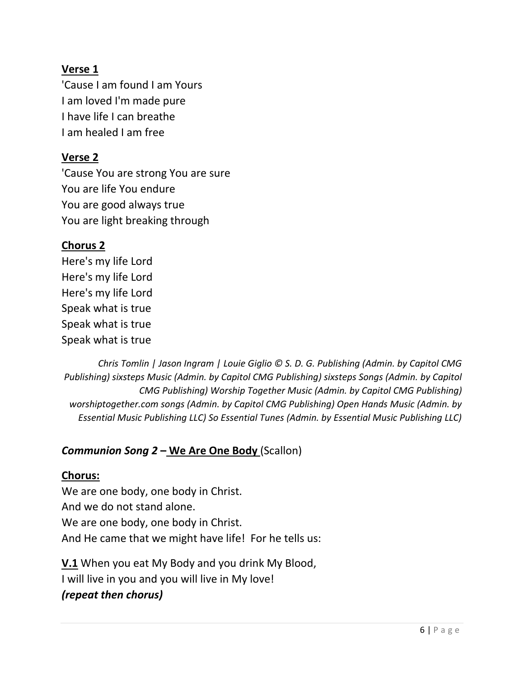#### **Verse 1**

'Cause I am found I am Yours I am loved I'm made pure I have life I can breathe I am healed I am free

### **Verse 2**

'Cause You are strong You are sure You are life You endure You are good always true You are light breaking through

### **Chorus 2**

Here's my life Lord Here's my life Lord Here's my life Lord Speak what is true Speak what is true Speak what is true

*Chris Tomlin | Jason Ingram | Louie Giglio © S. D. G. Publishing (Admin. by Capitol CMG Publishing) sixsteps Music (Admin. by Capitol CMG Publishing) sixsteps Songs (Admin. by Capitol CMG Publishing) Worship Together Music (Admin. by Capitol CMG Publishing) worshiptogether.com songs (Admin. by Capitol CMG Publishing) Open Hands Music (Admin. by Essential Music Publishing LLC) So Essential Tunes (Admin. by Essential Music Publishing LLC)*

### *Communion Song 2* **– We Are One Body** (Scallon)

#### **Chorus:**

We are one body, one body in Christ. And we do not stand alone. We are one body, one body in Christ. And He came that we might have life! For he tells us:

**V.1** When you eat My Body and you drink My Blood, I will live in you and you will live in My love! *(repeat then chorus)*